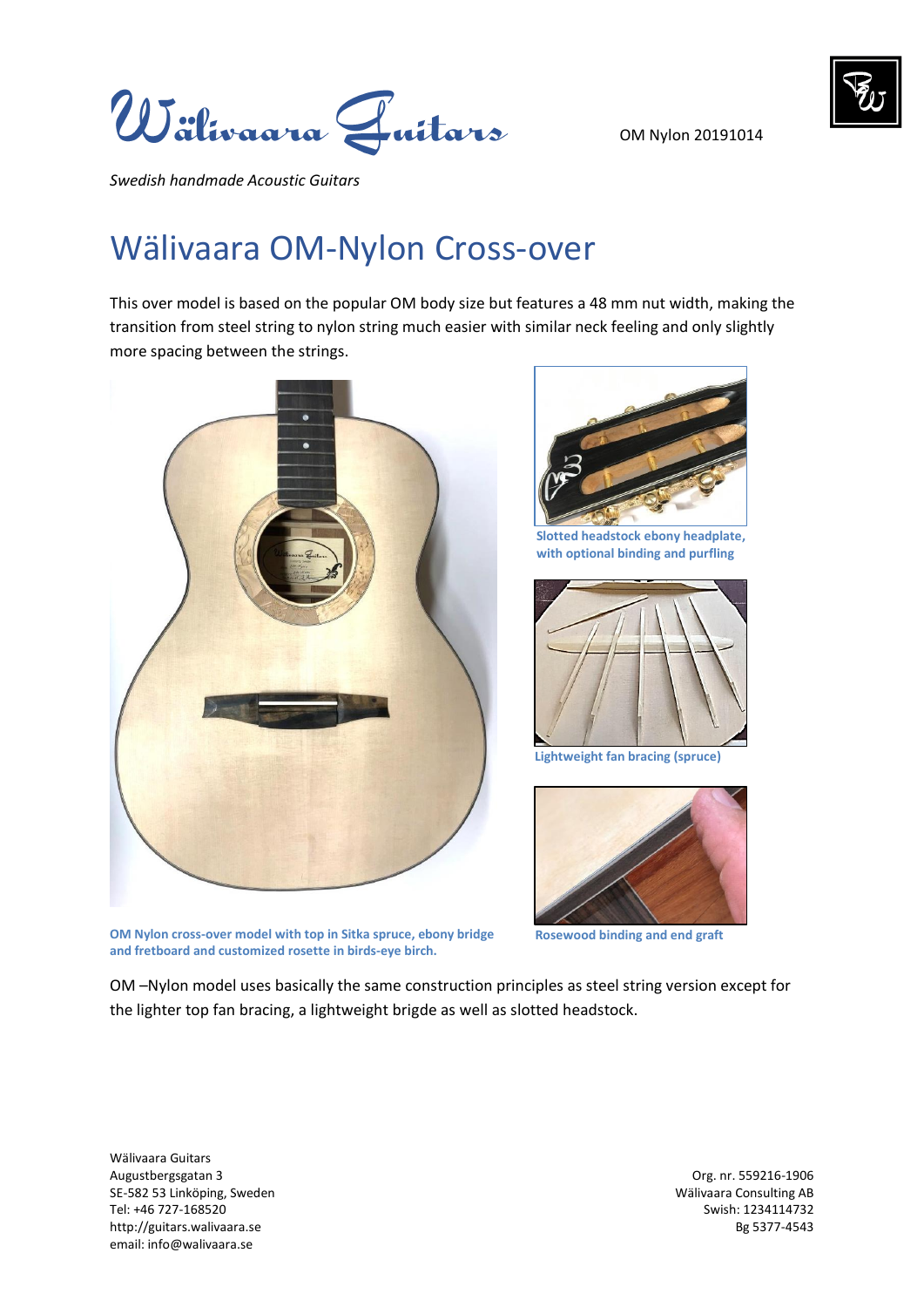OM Nylon 20191014



*Swedish handmade Acoustic Guitars* 

## Wälivaara OM-Nylon Cross-over

This over model is based on the popular OM body size but features a 48 mm nut width, making the transition from steel string to nylon string much easier with similar neck feeling and only slightly more spacing between the strings.



**OM Nylon cross-over model with top in Sitka spruce, ebony bridge and fretboard and customized rosette in birds-eye birch.**



**Slotted headstock ebony headplate, with optional binding and purfling** 



**Lightweight fan bracing (spruce)**



**Rosewood binding and end graft**

OM –Nylon model uses basically the same construction principles as steel string version except for the lighter top fan bracing, a lightweight brigde as well as slotted headstock.

Wälivaara Guitars Augustbergsgatan 3 Org. nr. 559216-1906 SE-582 53 Linköping, Sweden Wälivaara Consulting AB Tel: +46 727-168520 Swish: 1234114732 http://guitars.walivaara.se Bg 5377-4543 email: info@walivaara.se